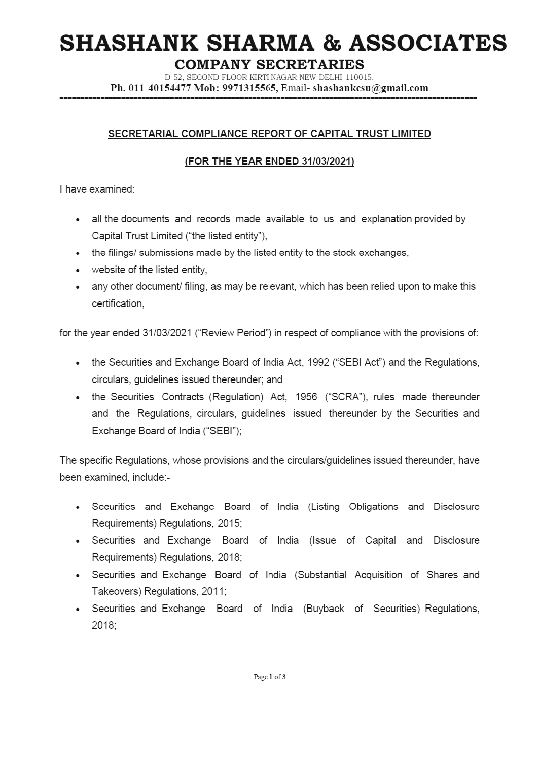# SHASHANK SHARMA & ASSOCIATES **SHASHANK SHAF**<br>
COMPANY SI<br>
Ph. 011-40154477 Mob: 997131556

## COMPANY SECRETARIES

D-52, SECOND FLOOR KIRTI NAGAR NEW DELHI-110015. Ph. 011-40154477 Mob: 9971315565, Email- shashankcsu@gmail.com

### SECRETARIAL COMPLIANCE REPORT OF CAPITAL TRUST LIMITED

### FOR THE YEAR ENDED 31/03/2021

| have examined:

- all the documents and records made available to us and explanation provided by  $\bullet$ Capital Trust Limited (''the listed entity'),
- the filings/ submissions made by the listed entity to the stock exchanges,
- website of the listed entity,
- any other document/ filing, as may be relevant, which has been relied upon to make this certification,

for the year ended 31/03/2021 ("Review Period") in respect of compliance with the provisions of:

- the Securities and Exchange Board of India Act, 1992 ("SEBI Act") and the Regulations, circulars, guidelines issued thereunder; and
- the Securities Contracts (Regulation) Act, 1956 ("SCRA"), rules made thereunder and the Regulations, circulars, guidelines issued thereunder by the Securities and Exchange Board of India ("SEBI");

The specific Regulations, whose provisions and the circulars/guidelines issued thereunder, have been examined, include:-

- « Securities and Exchange Board of India (Listing Obligations and Disclosure Requirements) Regulations, 2015;
- « Securities and Exchange Board of India (Issue of Capital and Disclosure Requirements) Regulations, 2018;
- « Securities and Exchange Board of India (Substantial Acquisition of Shares and Takeovers) Regulations, 2011;
- « Securities and Exchange Board of India (Buyback of Securities) Regulations, 2018;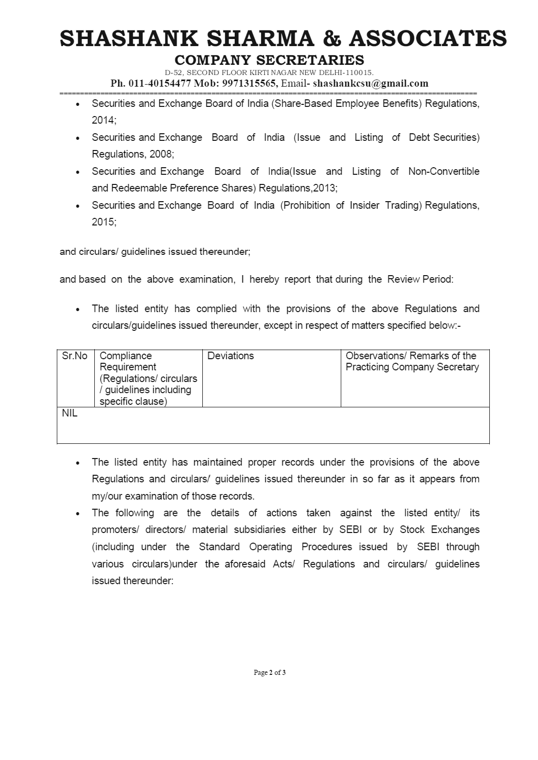# SHASHANK SHARMA & ASSOCIATES **SHASHANK SHAF**<br>
COMPANY SI<br>
Ph. 011-40154477 Mob: 997131556

## COMPANY SECRETARIES

- Securities and Exchange Board of India (Share-Based Employee Benefits) Regulations, 2014;
- Securities and Exchange Board of India (Issue and Listing of Debt Securities) Regulations, 2008;
- Securities and Exchange Board of India(lssue and Listing of Non-Convertible and Redeemable Preference Shares) Regulations,2013; **SHASHANK SHAR**<br>
COMPANY SE<br>
Ph. 011-40154477 Mob: 9971315566<br>
Ph. 011-40154477 Mob: 9971315566<br>
Securities and Exchange Board of India<br>
2014;<br>
Securities and Exchange Board of India<br>
Regulations, 2008;<br>
Securities and Exc
	- Securities and Exchange Board of India (Prohibition of Insider Trading) Regulations, 2015;

|                                                                                                             | <b>COMPANY SECRETARIES</b><br>D-52, SECOND FLOOR KIRTI NAGAR NEW DELHI-110015.<br>Ph. 011-40154477 Mob: 9971315565, Email-shashankcsu@gmail.com | <b>SHASHANK SHARMA &amp; ASSOCIATE</b>                                               |
|-------------------------------------------------------------------------------------------------------------|-------------------------------------------------------------------------------------------------------------------------------------------------|--------------------------------------------------------------------------------------|
| 2014;                                                                                                       |                                                                                                                                                 | Securities and Exchange Board of India (Share-Based Employee Benefits) Regulations,  |
| $\bullet$<br>Regulations, 2008;                                                                             |                                                                                                                                                 | Securities and Exchange Board of India (Issue and Listing of Debt Securities)        |
| $\bullet$                                                                                                   | and Redeemable Preference Shares) Regulations, 2013;                                                                                            | Securities and Exchange Board of India(Issue and Listing of Non-Convertible          |
| 2015;                                                                                                       |                                                                                                                                                 | Securities and Exchange Board of India (Prohibition of Insider Trading) Regulations, |
| and circulars/ guidelines issued thereunder;                                                                |                                                                                                                                                 |                                                                                      |
|                                                                                                             | and based on the above examination, I hereby report that during the Review Period:                                                              |                                                                                      |
| $\bullet$                                                                                                   | circulars/guidelines issued thereunder, except in respect of matters specified below:-                                                          | The listed entity has complied with the provisions of the above Regulations and      |
| Sr.No<br>Compliance<br>Requirement<br>(Regulations/ circulars<br>/ guidelines including<br>specific clause) | Deviations                                                                                                                                      | Observations/ Remarks of the<br>Practicing Company Secretary                         |
| <b>NIL</b>                                                                                                  |                                                                                                                                                 |                                                                                      |

- The listed entity has maintained proper records under the provisions of the above  $\bullet$ Regulations and circulars/ guidelines issued thereunder in so far as it appears from my/our examination of those records.
- The following are the details of actions taken against the listed entity/ its  $\bullet$ promoters/ directors/ material subsidiaries either by SEBI or by Stock Exchanges (including under the Standard Operating Procedures issued by SEBI through various circulars)under the aforesaid Acts/ Regulations and circulars/ guidelines issued thereunder: